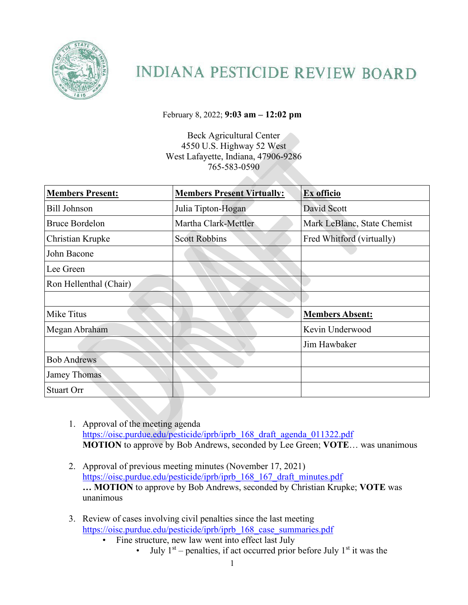

## **INDIANA PESTICIDE REVIEW BOARD**

February 8, 2022; **9:03 am – 12:02 pm** 

Beck Agricultural Center 4550 U.S. Highway 52 West West Lafayette, Indiana, 47906-9286 765-583-0590

| <b>Members Present:</b> | <b>Members Present Virtually:</b> | Ex officio                  |
|-------------------------|-----------------------------------|-----------------------------|
| <b>Bill Johnson</b>     | Julia Tipton-Hogan                | David Scott                 |
| <b>Bruce Bordelon</b>   | Martha Clark-Mettler              | Mark LeBlanc, State Chemist |
| Christian Krupke        | <b>Scott Robbins</b>              | Fred Whitford (virtually)   |
| John Bacone             |                                   |                             |
| Lee Green               |                                   |                             |
| Ron Hellenthal (Chair)  |                                   |                             |
|                         |                                   |                             |
| Mike Titus              |                                   | <b>Members Absent:</b>      |
| Megan Abraham           |                                   | Kevin Underwood             |
|                         |                                   | Jim Hawbaker                |
| <b>Bob Andrews</b>      |                                   |                             |
| Jamey Thomas            |                                   |                             |
| <b>Stuart Orr</b>       |                                   |                             |

- 1. Approval of the meeting agenda https://oisc.purdue.edu/pesticide/iprb/iprb\_168\_draft\_agenda\_011322.pdf **MOTION** to approve by Bob Andrews, seconded by Lee Green; **VOTE**… was unanimous
- 2. Approval of previous meeting minutes (November 17, 2021) [https://oisc.purdue.edu/pesticide/iprb/iprb\\_168\\_167\\_draft\\_minutes.pdf](https://oisc.purdue.edu/pesticide/iprb/iprb_168_167_draft_minutes.pdf)  **… MOTION** to approve by Bob Andrews, seconded by Christian Krupke; **VOTE** was unanimous
- 3. Review of cases involving civil penalties since the last meeting [https://oisc.purdue.edu/pesticide/iprb/iprb\\_168\\_case\\_summaries.pdf](https://oisc.purdue.edu/pesticide/iprb/iprb_168_case_summaries.pdf) 
	- Fine structure, new law went into effect last July
		- July  $1<sup>st</sup>$  penalties, if act occurred prior before July  $1<sup>st</sup>$  it was the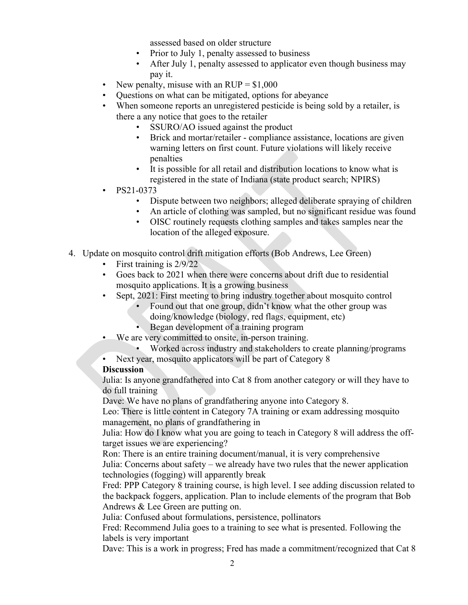assessed based on older structure

- Prior to July 1, penalty assessed to business
- After July 1, penalty assessed to applicator even though business may pay it.
- New penalty, misuse with an  $RUP = $1,000$
- Questions on what can be mitigated, options for abeyance
- When someone reports an unregistered pesticide is being sold by a retailer, is there a any notice that goes to the retailer
	- SSURO/AO issued against the product
	- Brick and mortar/retailer compliance assistance, locations are given warning letters on first count. Future violations will likely receive penalties
	- It is possible for all retail and distribution locations to know what is registered in the state of Indiana (state product search; NPIRS)
- PS21-0373
	- Dispute between two neighbors; alleged deliberate spraying of children
		- An article of clothing was sampled, but no significant residue was found
	- OISC routinely requests clothing samples and takes samples near the location of the alleged exposure.
- 4. Update on mosquito control drift mitigation efforts (Bob Andrews, Lee Green)
	- First training is 2/9/22
	- Goes back to 2021 when there were concerns about drift due to residential mosquito applications. It is a growing business
	- Sept, 2021: First meeting to bring industry together about mosquito control
		- Found out that one group, didn't know what the other group was doing/knowledge (biology, red flags, equipment, etc)
		- Began development of a training program
	- We are very committed to onsite, in-person training.
		- Worked across industry and stakeholders to create planning/programs
	- Next year, mosquito applicators will be part of Category 8

## **Discussion**

Julia: Is anyone grandfathered into Cat 8 from another category or will they have to do full training

Dave: We have no plans of grandfathering anyone into Category 8.

Leo: There is little content in Category 7A training or exam addressing mosquito management, no plans of grandfathering in

Julia: How do I know what you are going to teach in Category 8 will address the offtarget issues we are experiencing?

Ron: There is an entire training document/manual, it is very comprehensive

Julia: Concerns about safety – we already have two rules that the newer application technologies (fogging) will apparently break

Fred: PPP Category 8 training course, is high level. I see adding discussion related to the backpack foggers, application. Plan to include elements of the program that Bob Andrews & Lee Green are putting on.

Julia: Confused about formulations, persistence, pollinators

Fred: Recommend Julia goes to a training to see what is presented. Following the labels is very important

Dave: This is a work in progress; Fred has made a commitment/recognized that Cat 8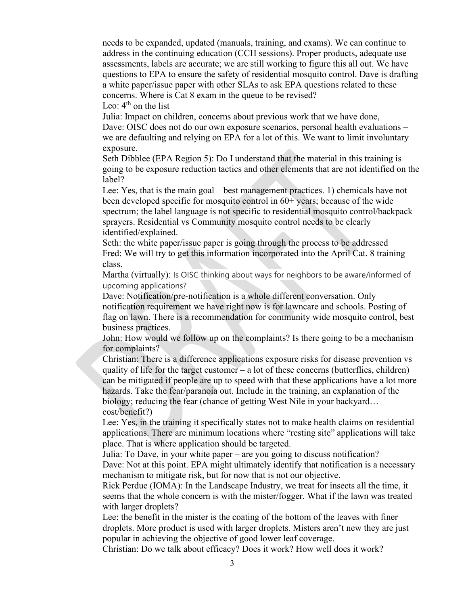needs to be expanded, updated (manuals, training, and exams). We can continue to address in the continuing education (CCH sessions). Proper products, adequate use assessments, labels are accurate; we are still working to figure this all out. We have questions to EPA to ensure the safety of residential mosquito control. Dave is drafting a white paper/issue paper with other SLAs to ask EPA questions related to these concerns. Where is Cat 8 exam in the queue to be revised?

Leo:  $4<sup>th</sup>$  on the list

Julia: Impact on children, concerns about previous work that we have done, Dave: OISC does not do our own exposure scenarios, personal health evaluations – we are defaulting and relying on EPA for a lot of this. We want to limit involuntary exposure.

Seth Dibblee (EPA Region 5): Do I understand that the material in this training is going to be exposure reduction tactics and other elements that are not identified on the label?

Lee: Yes, that is the main goal – best management practices. 1) chemicals have not been developed specific for mosquito control in 60+ years; because of the wide spectrum; the label language is not specific to residential mosquito control/backpack sprayers. Residential vs Community mosquito control needs to be clearly identified/explained.

Seth: the white paper/issue paper is going through the process to be addressed Fred: We will try to get this information incorporated into the April Cat. 8 training class.

Martha (virtually): Is OISC thinking about ways for neighbors to be aware/informed of upcoming applications?

Dave: Notification/pre-notification is a whole different conversation. Only notification requirement we have right now is for lawncare and schools. Posting of flag on lawn. There is a recommendation for community wide mosquito control, best business practices.

John: How would we follow up on the complaints? Is there going to be a mechanism for complaints?

Christian: There is a difference applications exposure risks for disease prevention vs quality of life for the target customer – a lot of these concerns (butterflies, children) can be mitigated if people are up to speed with that these applications have a lot more hazards. Take the fear/paranoia out. Include in the training, an explanation of the biology; reducing the fear (chance of getting West Nile in your backyard… cost/benefit?)

Lee: Yes, in the training it specifically states not to make health claims on residential applications. There are minimum locations where "resting site" applications will take place. That is where application should be targeted.

Julia: To Dave, in your white paper – are you going to discuss notification? Dave: Not at this point. EPA might ultimately identify that notification is a necessary mechanism to mitigate risk, but for now that is not our objective.

Rick Perdue (IOMA): In the Landscape Industry, we treat for insects all the time, it seems that the whole concern is with the mister/fogger. What if the lawn was treated with larger droplets?

Lee: the benefit in the mister is the coating of the bottom of the leaves with finer droplets. More product is used with larger droplets. Misters aren't new they are just popular in achieving the objective of good lower leaf coverage.

Christian: Do we talk about efficacy? Does it work? How well does it work?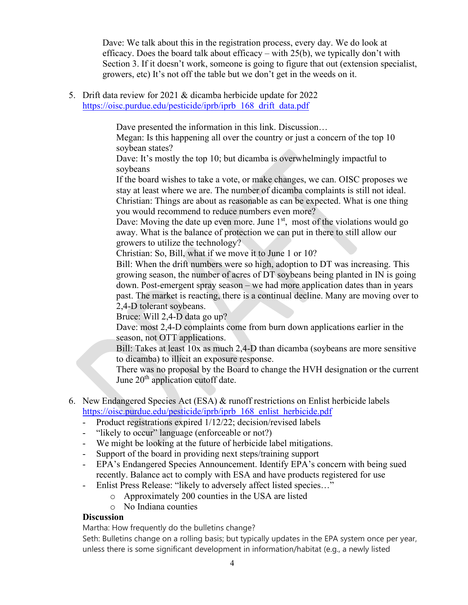Dave: We talk about this in the registration process, every day. We do look at efficacy. Does the board talk about efficacy – with 25(b), we typically don't with Section 3. If it doesn't work, someone is going to figure that out (extension specialist, growers, etc) It's not off the table but we don't get in the weeds on it.

5. Drift data review for 2021 & dicamba herbicide update for 2022 https://oisc.purdue.edu/pesticide/iprb/iprb\_168\_drift\_data.pdf

Dave presented the information in this link. Discussion...

Megan: Is this happening all over the country or just a concern of the top 10 soybean states?

Dave: It's mostly the top 10; but dicamba is overwhelmingly impactful to soybeans

If the board wishes to take a vote, or make changes, we can. OISC proposes we stay at least where we are. The number of dicamba complaints is still not ideal. Christian: Things are about as reasonable as can be expected. What is one thing you would recommend to reduce numbers even more?

Dave: Moving the date up even more. June  $1<sup>st</sup>$ , most of the violations would go away. What is the balance of protection we can put in there to still allow our growers to utilize the technology?

Christian: So, Bill, what if we move it to June 1 or 10?

Bill: When the drift numbers were so high, adoption to DT was increasing. This growing season, the number of acres of DT soybeans being planted in IN is going down. Post-emergent spray season – we had more application dates than in years past. The market is reacting, there is a continual decline. Many are moving over to 2,4-D tolerant soybeans.

Bruce: Will 2,4-D data go up?

Dave: most 2,4-D complaints come from burn down applications earlier in the season, not OTT applications.

Bill: Takes at least 10x as much 2,4-D than dicamba (soybeans are more sensitive to dicamba) to illicit an exposure response.

There was no proposal by the Board to change the HVH designation or the current June  $20<sup>th</sup>$  application cutoff date.

- 6. New Endangered Species Act (ESA) & runoff restrictions on Enlist herbicide labels [https://oisc.purdue.edu/pesticide/iprb/iprb\\_168\\_enlist\\_herbicide.pdf](https://oisc.purdue.edu/pesticide/iprb/iprb_168_enlist_herbicide.pdf)
	- Product registrations expired  $1/12/22$ ; decision/revised labels
	- "likely to occur" language (enforceable or not?)
	- We might be looking at the future of herbicide label mitigations.
	- Support of the board in providing next steps/training support
	- EPA's Endangered Species Announcement. Identify EPA's concern with being sued recently. Balance act to comply with ESA and have products registered for use
	- Enlist Press Release: "likely to adversely affect listed species…"
		- o Approximately 200 counties in the USA are listed
		- o No Indiana counties

## **Discussion**

Martha: How frequently do the bulletins change?

Seth: Bulletins change on a rolling basis; but typically updates in the EPA system once per year, unless there is some significant development in information/habitat (e.g., a newly listed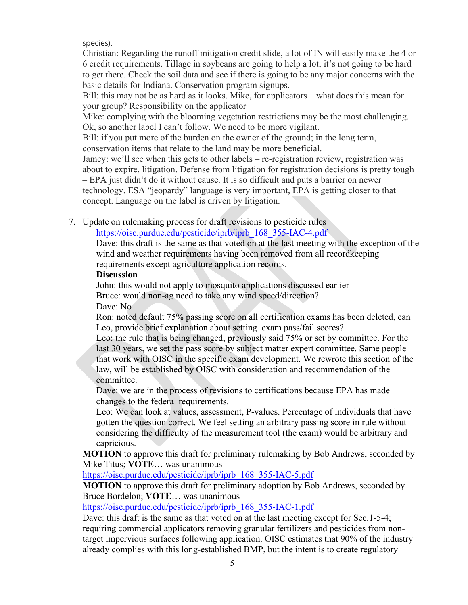species).

Christian: Regarding the runoff mitigation credit slide, a lot of IN will easily make the 4 or 6 credit requirements. Tillage in soybeans are going to help a lot; it's not going to be hard to get there. Check the soil data and see if there is going to be any major concerns with the basic details for Indiana. Conservation program signups.

Bill: this may not be as hard as it looks. Mike, for applicators – what does this mean for your group? Responsibility on the applicator

Mike: complying with the blooming vegetation restrictions may be the most challenging. Ok, so another label I can't follow. We need to be more vigilant.

Bill: if you put more of the burden on the owner of the ground; in the long term, conservation items that relate to the land may be more beneficial.

Jamey: we'll see when this gets to other labels – re-registration review, registration was about to expire, litigation. Defense from litigation for registration decisions is pretty tough – EPA just didn't do it without cause. It is so difficult and puts a barrier on newer

technology. ESA "jeopardy" language is very important, EPA is getting closer to that concept. Language on the label is driven by litigation.

- 7. Update on rulemaking process for draft revisions to pesticide rules https://oisc.purdue.edu/pesticide/iprb/iprb\_168\_355-IAC-4.pdf
	- Dave: this draft is the same as that voted on at the last meeting with the exception of the wind and weather requirements having been removed from all recordkeeping requirements except agriculture application records.

## **Discussion**

John: this would not apply to mosquito applications discussed earlier Bruce: would non-ag need to take any wind speed/direction? Dave: No

Ron: noted default 75% passing score on all certification exams has been deleted, can Leo, provide brief explanation about setting exam pass/fail scores?

Leo: the rule that is being changed, previously said 75% or set by committee. For the last 30 years, we set the pass score by subject matter expert committee. Same people that work with OISC in the specific exam development. We rewrote this section of the law, will be established by OISC with consideration and recommendation of the committee.

Dave: we are in the process of revisions to certifications because EPA has made changes to the federal requirements.

Leo: We can look at values, assessment, P-values. Percentage of individuals that have gotten the question correct. We feel setting an arbitrary passing score in rule without considering the difficulty of the measurement tool (the exam) would be arbitrary and capricious.

**MOTION** to approve this draft for preliminary rulemaking by Bob Andrews, seconded by Mike Titus; **VOTE**… was unanimous

[https://oisc.purdue.edu/pesticide/iprb/iprb\\_168\\_355-IAC-5.pdf](https://oisc.purdue.edu/pesticide/iprb/iprb_168_355-IAC-5.pdf)

**MOTION** to approve this draft for preliminary adoption by Bob Andrews, seconded by Bruce Bordelon; **VOTE**… was unanimous

https://oisc.purdue.edu/pesticide/iprb/iprb\_168\_355-IAC-1.pdf

Dave: this draft is the same as that voted on at the last meeting except for Sec.1-5-4; requiring commercial applicators removing granular fertilizers and pesticides from nontarget impervious surfaces following application. OISC estimates that 90% of the industry already complies with this long-established BMP, but the intent is to create regulatory